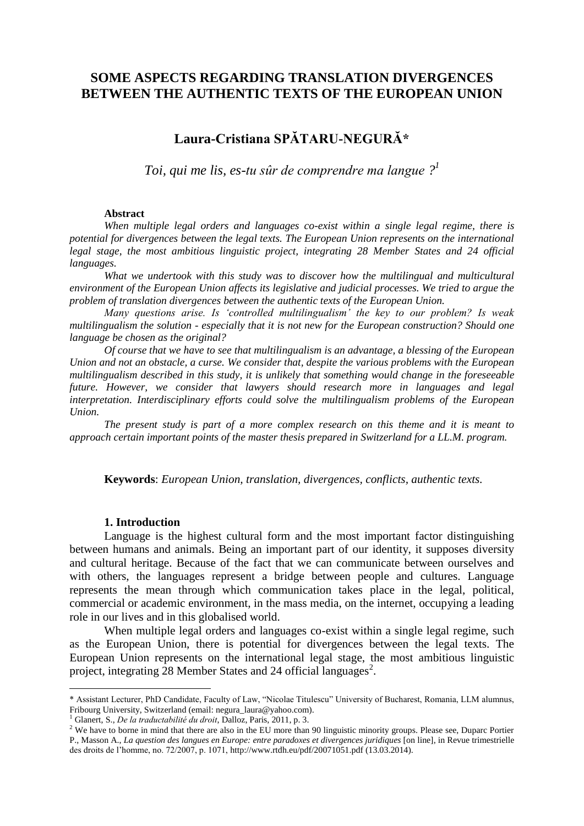# **SOME ASPECTS REGARDING TRANSLATION DIVERGENCES BETWEEN THE AUTHENTIC TEXTS OF THE EUROPEAN UNION**

# **Laura-Cristiana SPĂTARU-NEGURĂ\***

*Toi, qui me lis, es-tu sûr de comprendre ma langue ? 1*

#### **Abstract**

*When multiple legal orders and languages co-exist within a single legal regime, there is potential for divergences between the legal texts. The European Union represents on the international legal stage, the most ambitious linguistic project, integrating 28 Member States and 24 official languages.*

*What we undertook with this study was to discover how the multilingual and multicultural environment of the European Union affects its legislative and judicial processes. We tried to argue the problem of translation divergences between the authentic texts of the European Union.* 

*Many questions arise. Is 'controlled multilingualism' the key to our problem? Is weak multilingualism the solution - especially that it is not new for the European construction? Should one language be chosen as the original?*

*Of course that we have to see that multilingualism is an advantage, a blessing of the European Union and not an obstacle, a curse. We consider that, despite the various problems with the European multilingualism described in this study, it is unlikely that something would change in the foreseeable future. However, we consider that lawyers should research more in languages and legal interpretation. Interdisciplinary efforts could solve the multilingualism problems of the European Union.*

*The present study is part of a more complex research on this theme and it is meant to approach certain important points of the master thesis prepared in Switzerland for a LL.M. program.*

**Keywords**: *European Union, translation, divergences, conflicts, authentic texts.*

#### **1. Introduction**

 $\overline{a}$ 

Language is the highest cultural form and the most important factor distinguishing between humans and animals. Being an important part of our identity, it supposes diversity and cultural heritage. Because of the fact that we can communicate between ourselves and with others, the languages represent a bridge between people and cultures. Language represents the mean through which communication takes place in the legal, political, commercial or academic environment, in the mass media, on the internet, occupying a leading role in our lives and in this globalised world.

When multiple legal orders and languages co-exist within a single legal regime, such as the European Union, there is potential for divergences between the legal texts. The European Union represents on the international legal stage, the most ambitious linguistic project, integrating  $\overline{28}$  Member States and 24 official languages<sup>2</sup>.

<sup>1</sup> Glanert, S., *De la traductabilité du droit*, Dalloz, Paris, 2011, p. 3.

<sup>\*</sup> Assistant Lecturer, PhD Candidate, Faculty of Law, "Nicolae Titulescu" University of Bucharest, Romania, LLM alumnus, Fribourg University, Switzerland (email: negura\_laura@yahoo.com).

<sup>&</sup>lt;sup>2</sup> We have to borne in mind that there are also in the EU more than 90 linguistic minority groups. Please see, Duparc Portier P., Masson A., *La question des langues en Europe: entre paradoxes et divergences juridiques* [on line], in Revue trimestrielle des droits de l'homme, no. 72/2007, p. 1071, http://www.rtdh.eu/pdf/20071051.pdf (13.03.2014).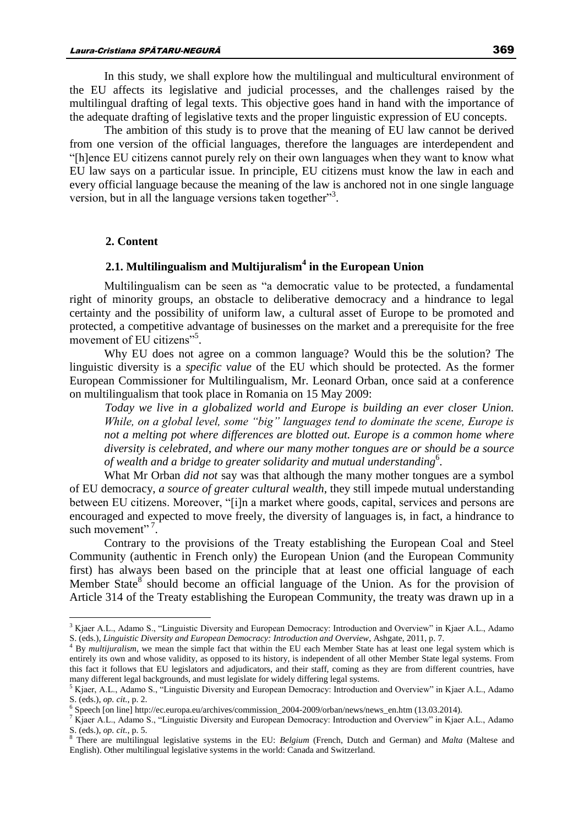In this study, we shall explore how the multilingual and multicultural environment of the EU affects its legislative and judicial processes, and the challenges raised by the multilingual drafting of legal texts. This objective goes hand in hand with the importance of the adequate drafting of legislative texts and the proper linguistic expression of EU concepts.

The ambition of this study is to prove that the meaning of EU law cannot be derived from one version of the official languages, therefore the languages are interdependent and "[h]ence EU citizens cannot purely rely on their own languages when they want to know what EU law says on a particular issue. In principle, EU citizens must know the law in each and every official language because the meaning of the law is anchored not in one single language version, but in all the language versions taken together"<sup>3</sup>.

## **2. Content**

 $\overline{a}$ 

## **2.1. Multilingualism and Multijuralism<sup>4</sup> in the European Union**

Multilingualism can be seen as "a democratic value to be protected, a fundamental right of minority groups, an obstacle to deliberative democracy and a hindrance to legal certainty and the possibility of uniform law, a cultural asset of Europe to be promoted and protected, a competitive advantage of businesses on the market and a prerequisite for the free movement of EU citizens"<sup>5</sup>.

Why EU does not agree on a common language? Would this be the solution? The linguistic diversity is a *specific value* of the EU which should be protected. As the former European Commissioner for Multilingualism, Mr. Leonard Orban, once said at a conference on multilingualism that took place in Romania on 15 May 2009:

*Today we live in a globalized world and Europe is building an ever closer Union. While, on a global level, some "big" languages tend to dominate the scene, Europe is not a melting pot where differences are blotted out. Europe is a common home where diversity is celebrated, and where our many mother tongues are or should be a source of wealth and a bridge to greater solidarity and mutual understanding*<sup>6</sup> *.*

What Mr Orban *did not* say was that although the many mother tongues are a symbol of EU democracy, *a source of greater cultural wealth*, they still impede mutual understanding between EU citizens. Moreover, "[i]n a market where goods, capital, services and persons are encouraged and expected to move freely, the diversity of languages is, in fact, a hindrance to such movement"<sup>7</sup>.

Contrary to the provisions of the Treaty establishing the European Coal and Steel Community (authentic in French only) the European Union (and the European Community first) has always been based on the principle that at least one official language of each Member State<sup>8</sup> should become an official language of the Union. As for the provision of Article 314 of the Treaty establishing the European Community, the treaty was drawn up in a

<sup>&</sup>lt;sup>3</sup> Kjaer A.L., Adamo S., "Linguistic Diversity and European Democracy: Introduction and Overview" in Kjaer A.L., Adamo S. (eds.), *Linguistic Diversity and European Democracy: Introduction and Overview*, Ashgate, 2011, p. 7.

<sup>&</sup>lt;sup>4</sup> By *multijuralism*, we mean the simple fact that within the EU each Member State has at least one legal system which is entirely its own and whose validity, as opposed to its history, is independent of all other Member State legal systems. From this fact it follows that EU legislators and adjudicators, and their staff, coming as they are from different countries, have many different legal backgrounds, and must legislate for widely differing legal systems.

<sup>5</sup> Kjaer, A.L., Adamo S., "Linguistic Diversity and European Democracy: Introduction and Overview" in Kjaer A.L., Adamo S. (eds.), *op. cit.*, p. 2.

<sup>6</sup> Speech [on line] http://ec.europa.eu/archives/commission\_2004-2009/orban/news/news\_en.htm (13.03.2014).

<sup>7</sup> Kjaer A.L., Adamo S., "Linguistic Diversity and European Democracy: Introduction and Overview" in Kjaer A.L., Adamo S. (eds.), *op. cit.*, p. 5.

<sup>8</sup> There are multilingual legislative systems in the EU: *Belgium* (French, Dutch and German) and *Malta* (Maltese and English). Other multilingual legislative systems in the world: Canada and Switzerland.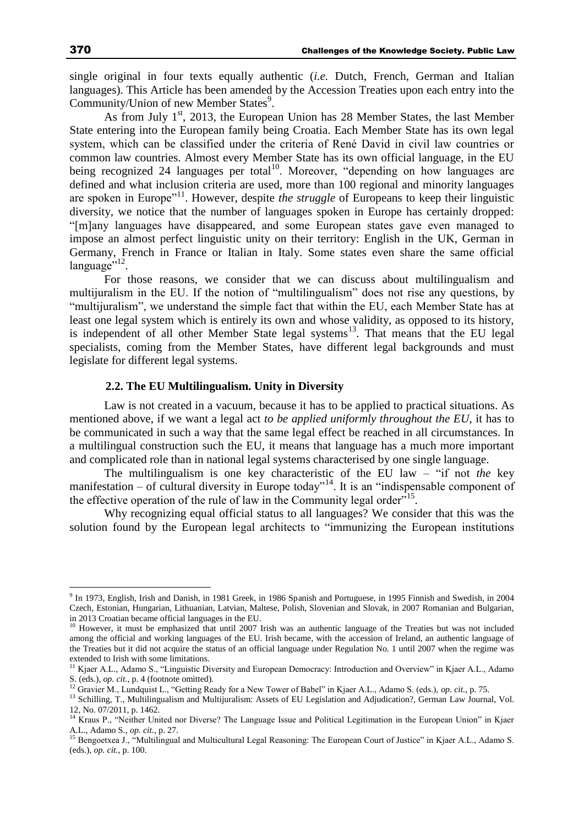single original in four texts equally authentic (*i.e.* Dutch, French, German and Italian languages). This Article has been amended by the Accession Treaties upon each entry into the Community/Union of new Member States<sup>9</sup>.

As from July  $1<sup>st</sup>$ , 2013, the European Union has 28 Member States, the last Member State entering into the European family being Croatia. Each Member State has its own legal system, which can be classified under the criteria of René David in civil law countries or common law countries. Almost every Member State has its own official language, in the EU being recognized 24 languages per total<sup>10</sup>. Moreover, "depending on how languages are defined and what inclusion criteria are used, more than 100 regional and minority languages are spoken in Europe<sup>"11</sup>. However, despite *the struggle* of Europeans to keep their linguistic diversity, we notice that the number of languages spoken in Europe has certainly dropped: "[m]any languages have disappeared, and some European states gave even managed to impose an almost perfect linguistic unity on their territory: English in the UK, German in Germany, French in France or Italian in Italy. Some states even share the same official language"<sup>12</sup>.

For those reasons, we consider that we can discuss about multilingualism and multijuralism in the EU. If the notion of "multilingualism" does not rise any questions, by "multijuralism", we understand the simple fact that within the EU, each Member State has at least one legal system which is entirely its own and whose validity, as opposed to its history, is independent of all other Member State legal systems<sup>13</sup>. That means that the EU legal specialists, coming from the Member States, have different legal backgrounds and must legislate for different legal systems.

### **2.2. The EU Multilingualism. Unity in Diversity**

Law is not created in a vacuum, because it has to be applied to practical situations. As mentioned above, if we want a legal act *to be applied uniformly throughout the EU*, it has to be communicated in such a way that the same legal effect be reached in all circumstances. In a multilingual construction such the EU, it means that language has a much more important and complicated role than in national legal systems characterised by one single language.

The multilingualism is one key characteristic of the EU law – "if not *the* key manifestation – of cultural diversity in Europe today<sup>314</sup>. It is an "indispensable component of the effective operation of the rule of law in the Community legal order<sup>715</sup>.

Why recognizing equal official status to all languages? We consider that this was the solution found by the European legal architects to "immunizing the European institutions

<sup>9</sup> In 1973, English, Irish and Danish, in 1981 Greek, in 1986 Spanish and Portuguese, in 1995 Finnish and Swedish, in 2004 Czech, Estonian, Hungarian, Lithuanian, Latvian, Maltese, Polish, Slovenian and Slovak, in 2007 Romanian and Bulgarian, in 2013 Croatian became official languages in the EU.

 $10$  However, it must be emphasized that until 2007 Irish was an authentic language of the Treaties but was not included among the official and working languages of the EU. Irish became, with the accession of Ireland, an authentic language of the Treaties but it did not acquire the status of an official language under Regulation No. 1 until 2007 when the regime was extended to Irish with some limitations.

<sup>&</sup>lt;sup>11</sup> Kjaer A.L., Adamo S., "Linguistic Diversity and European Democracy: Introduction and Overview" in Kjaer A.L., Adamo S. (eds.), *op. cit.*, p. 4 (footnote omitted).

<sup>&</sup>lt;sup>12</sup> Gravier M., Lundquist L., "Getting Ready for a New Tower of Babel" in Kjaer A.L., Adamo S. (eds.), *op. cit.*, p. 75.

<sup>&</sup>lt;sup>13</sup> Schilling, T., Multilingualism and Multijuralism: Assets of EU Legislation and Adjudication?, German Law Journal, Vol. 12, No. 07/2011, p. 1462.

<sup>&</sup>lt;sup>14</sup> Kraus P., "Neither United nor Diverse? The Language Issue and Political Legitimation in the European Union" in Kjaer A.L., Adamo S., *op. cit.*, p. 27.

<sup>&</sup>lt;sup>15</sup> Bengoetxea J., "Multilingual and Multicultural Legal Reasoning: The European Court of Justice" in Kjaer A.L., Adamo S. (eds.), *op. cit.*, p. 100.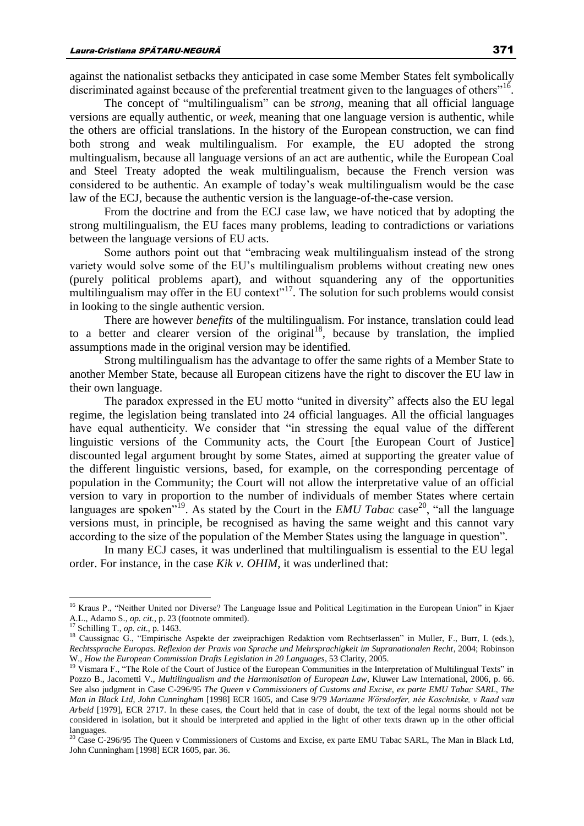against the nationalist setbacks they anticipated in case some Member States felt symbolically discriminated against because of the preferential treatment given to the languages of others"<sup>16</sup>.

The concept of "multilingualism" can be *strong*, meaning that all official language versions are equally authentic, or *week*, meaning that one language version is authentic, while the others are official translations. In the history of the European construction, we can find both strong and weak multilingualism. For example, the EU adopted the strong multingualism, because all language versions of an act are authentic, while the European Coal and Steel Treaty adopted the weak multilingualism, because the French version was considered to be authentic. An example of today's weak multilingualism would be the case law of the ECJ, because the authentic version is the language-of-the-case version.

From the doctrine and from the ECJ case law, we have noticed that by adopting the strong multilingualism, the EU faces many problems, leading to contradictions or variations between the language versions of EU acts.

Some authors point out that "embracing weak multilingualism instead of the strong variety would solve some of the EU's multilingualism problems without creating new ones (purely political problems apart), and without squandering any of the opportunities multilingualism may offer in the EU context"<sup>17</sup>. The solution for such problems would consist in looking to the single authentic version.

There are however *benefits* of the multilingualism. For instance, translation could lead to a better and clearer version of the original<sup>18</sup>, because by translation, the implied assumptions made in the original version may be identified.

Strong multilingualism has the advantage to offer the same rights of a Member State to another Member State, because all European citizens have the right to discover the EU law in their own language.

The paradox expressed in the EU motto "united in diversity" affects also the EU legal regime, the legislation being translated into 24 official languages. All the official languages have equal authenticity. We consider that "in stressing the equal value of the different linguistic versions of the Community acts, the Court [the European Court of Justice] discounted legal argument brought by some States, aimed at supporting the greater value of the different linguistic versions, based, for example, on the corresponding percentage of population in the Community; the Court will not allow the interpretative value of an official version to vary in proportion to the number of individuals of member States where certain languages are spoken<sup>"19</sup>. As stated by the Court in the *EMU Tabac* case<sup>20</sup>, "all the language versions must, in principle, be recognised as having the same weight and this cannot vary according to the size of the population of the Member States using the language in question"*.* 

In many ECJ cases, it was underlined that multilingualism is essential to the EU legal order. For instance, in the case *Kik v. OHIM*, it was underlined that:

<sup>&</sup>lt;sup>16</sup> Kraus P., "Neither United nor Diverse? The Language Issue and Political Legitimation in the European Union" in Kjaer A.L., Adamo S., *op. cit.*, p. 23 (footnote ommited).

<sup>17</sup> Schilling T., *op. cit.*, p. 1463.

<sup>&</sup>lt;sup>18</sup> Caussignac G., "Empirische Aspekte der zweiprachigen Redaktion vom Rechtserlassen" in Muller, F., Burr, I. (eds.), *Rechtssprache Europas. Reflexion der Praxis von Sprache und Mehrsprachigkeit im Supranationalen Recht*, 2004; Robinson W., *How the European Commission Drafts Legislation in 20 Languages*, 53 Clarity, 2005.

<sup>&</sup>lt;sup>19</sup> Vismara F., "The Role of the Court of Justice of the European Communities in the Interpretation of Multilingual Texts" in Pozzo B., Jacometti V., *Multilingualism and the Harmonisation of European Law*, Kluwer Law International, 2006, p. 66. See also judgment in Case C-296/95 *The Queen v Commissioners of Customs and Excise, ex parte EMU Tabac SARL, The Man in Black Ltd, John Cunningham* [1998] ECR 1605, and Case 9/79 *Marianne Wörsdorfer, née Koschniske, v Raad van Arbeid* [1979], ECR 2717. In these cases, the Court held that in case of doubt, the text of the legal norms should not be considered in isolation, but it should be interpreted and applied in the light of other texts drawn up in the other official languages.

<sup>&</sup>lt;sup>20</sup> Case C-296/95 The Queen v Commissioners of Customs and Excise, ex parte EMU Tabac SARL, The Man in Black Ltd, John Cunningham [1998] ECR 1605, par. 36.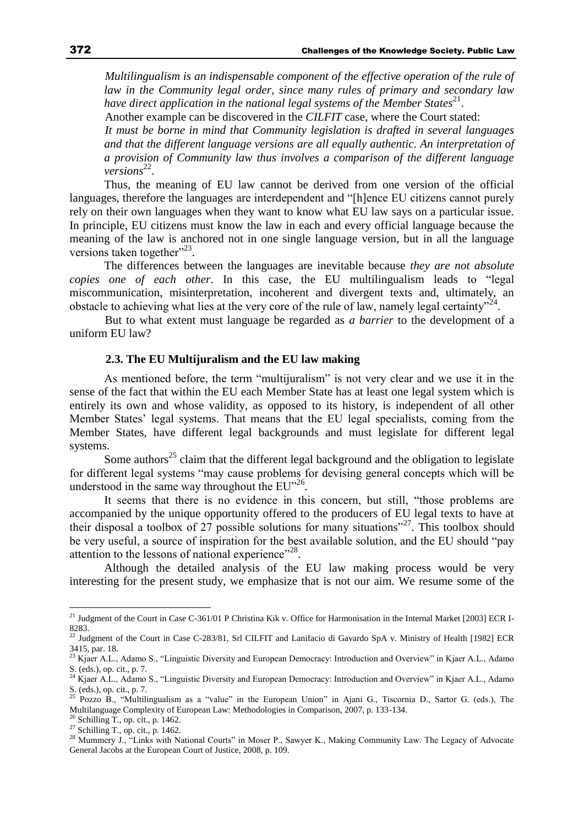*Multilingualism is an indispensable component of the effective operation of the rule of law in the Community legal order, since many rules of primary and secondary law*  have direct application in the national legal systems of the Member States<sup>21</sup>.

Another example can be discovered in the *CILFIT* case, where the Court stated:

*It must be borne in mind that Community legislation is drafted in several languages and that the different language versions are all equally authentic. An interpretation of a provision of Community law thus involves a comparison of the different language*  versions<sup>22</sup>.

Thus, the meaning of EU law cannot be derived from one version of the official languages, therefore the languages are interdependent and "[h]ence EU citizens cannot purely rely on their own languages when they want to know what EU law says on a particular issue. In principle, EU citizens must know the law in each and every official language because the meaning of the law is anchored not in one single language version, but in all the language versions taken together"<sup>23</sup>.

The differences between the languages are inevitable because *they are not absolute copies one of each other*. In this case, the EU multilingualism leads to "legal miscommunication, misinterpretation, incoherent and divergent texts and, ultimately, an obstacle to achieving what lies at the very core of the rule of law, namely legal certainty"<sup>24</sup>.

But to what extent must language be regarded as *a barrier* to the development of a uniform EU law?

#### **2.3. The EU Multijuralism and the EU law making**

As mentioned before, the term "multijuralism" is not very clear and we use it in the sense of the fact that within the EU each Member State has at least one legal system which is entirely its own and whose validity, as opposed to its history, is independent of all other Member States' legal systems. That means that the EU legal specialists, coming from the Member States, have different legal backgrounds and must legislate for different legal systems.

Some authors<sup>25</sup> claim that the different legal background and the obligation to legislate for different legal systems "may cause problems for devising general concepts which will be understood in the same way throughout the EU"<sup>26</sup>.

It seems that there is no evidence in this concern, but still, "those problems are accompanied by the unique opportunity offered to the producers of EU legal texts to have at their disposal a toolbox of 27 possible solutions for many situations"<sup>27</sup>. This toolbox should be very useful, a source of inspiration for the best available solution, and the EU should "pay attention to the lessons of national experience"<sup>28</sup>.

Although the detailed analysis of the EU law making process would be very interesting for the present study, we emphasize that is not our aim. We resume some of the

<sup>&</sup>lt;sup>21</sup> Judgment of the Court in Case C-361/01 P Christina Kik v. Office for Harmonisation in the Internal Market [2003] ECR I-8283.

<sup>&</sup>lt;sup>22</sup> Judgment of the Court in Case C-283/81, Srl CILFIT and Lanifacio di Gavardo SpA v. Ministry of Health [1982] ECR 3415, par. 18.

<sup>&</sup>lt;sup>23</sup> Kjaer A.L., Adamo S., "Linguistic Diversity and European Democracy: Introduction and Overview" in Kjaer A.L., Adamo S. (eds.), op. cit., p. 7.

<sup>&</sup>lt;sup>24</sup> Kjaer A.L., Adamo S., "Linguistic Diversity and European Democracy: Introduction and Overview" in Kjaer A.L., Adamo  $S.$  (eds.), op. cit., p. 7.<br>
<sup>25</sup> Pozza P

<sup>25</sup> Pozzo B., "Multilingualism as a "value" in the European Union" in Ajani G., Tiscornia D., Sartor G. (eds.), The Multilanguage Complexity of European Law: Methodologies in Comparison, 2007, p. 133-134.

<sup>26</sup> Schilling T., op. cit., p. 1462.

 $27$  Schilling T., op. cit., p. 1462.

<sup>&</sup>lt;sup>28</sup> Mummery J., "Links with National Courts" in Moser P., Sawyer K., Making Community Law. The Legacy of Advocate General Jacobs at the European Court of Justice, 2008, p. 109.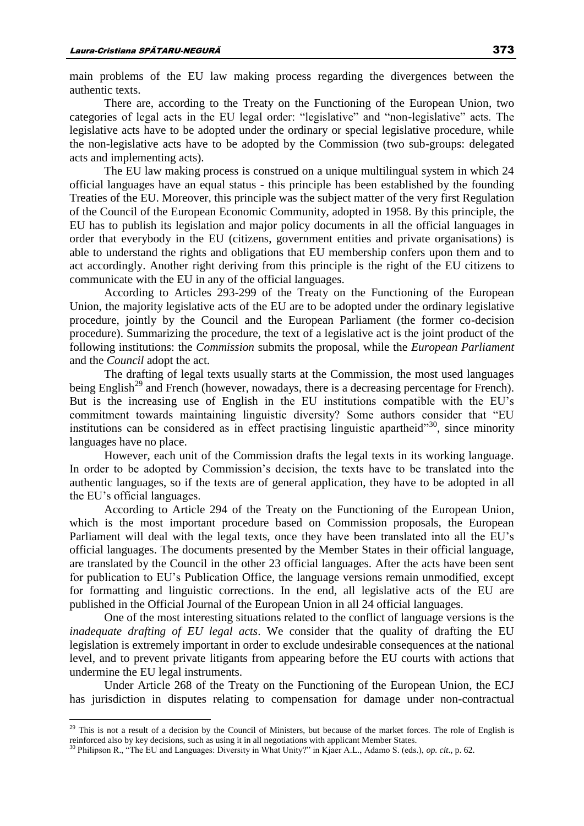main problems of the EU law making process regarding the divergences between the authentic texts.

There are, according to the Treaty on the Functioning of the European Union, two categories of legal acts in the EU legal order: "legislative" and "non-legislative" acts. The legislative acts have to be adopted under the ordinary or special legislative procedure, while the non-legislative acts have to be adopted by the Commission (two sub-groups: delegated acts and implementing acts).

The EU law making process is construed on a unique multilingual system in which 24 official languages have an equal status - this principle has been established by the founding Treaties of the EU. Moreover, this principle was the subject matter of the very first Regulation of the Council of the European Economic Community, adopted in 1958. By this principle, the EU has to publish its legislation and major policy documents in all the official languages in order that everybody in the EU (citizens, government entities and private organisations) is able to understand the rights and obligations that EU membership confers upon them and to act accordingly. Another right deriving from this principle is the right of the EU citizens to communicate with the EU in any of the official languages.

According to Articles 293-299 of the Treaty on the Functioning of the European Union, the majority legislative acts of the EU are to be adopted under the ordinary legislative procedure, jointly by the Council and the European Parliament (the former co-decision procedure). Summarizing the procedure, the text of a legislative act is the joint product of the following institutions: the *Commission* submits the proposal, while the *European Parliament* and the *Council* adopt the act.

The drafting of legal texts usually starts at the Commission, the most used languages being English<sup>29</sup> and French (however, nowadays, there is a decreasing percentage for French). But is the increasing use of English in the EU institutions compatible with the EU's commitment towards maintaining linguistic diversity? Some authors consider that "EU institutions can be considered as in effect practising linguistic apartheid"<sup>30</sup>, since minority languages have no place.

However, each unit of the Commission drafts the legal texts in its working language. In order to be adopted by Commission's decision, the texts have to be translated into the authentic languages, so if the texts are of general application, they have to be adopted in all the EU's official languages.

According to Article 294 of the Treaty on the Functioning of the European Union, which is the most important procedure based on Commission proposals, the European Parliament will deal with the legal texts, once they have been translated into all the EU's official languages. The documents presented by the Member States in their official language, are translated by the Council in the other 23 official languages. After the acts have been sent for publication to EU's Publication Office, the language versions remain unmodified, except for formatting and linguistic corrections. In the end, all legislative acts of the EU are published in the Official Journal of the European Union in all 24 official languages.

One of the most interesting situations related to the conflict of language versions is the *inadequate drafting of EU legal acts*. We consider that the quality of drafting the EU legislation is extremely important in order to exclude undesirable consequences at the national level, and to prevent private litigants from appearing before the EU courts with actions that undermine the EU legal instruments.

Under Article 268 of the Treaty on the Functioning of the European Union, the ECJ has jurisdiction in disputes relating to compensation for damage under non-contractual

<sup>&</sup>lt;sup>29</sup> This is not a result of a decision by the Council of Ministers, but because of the market forces. The role of English is reinforced also by key decisions, such as using it in all negotiations with applicant Member States.

<sup>30</sup> Philipson R., "The EU and Languages: Diversity in What Unity?" in Kjaer A.L., Adamo S. (eds.), *op. cit.*, p. 62.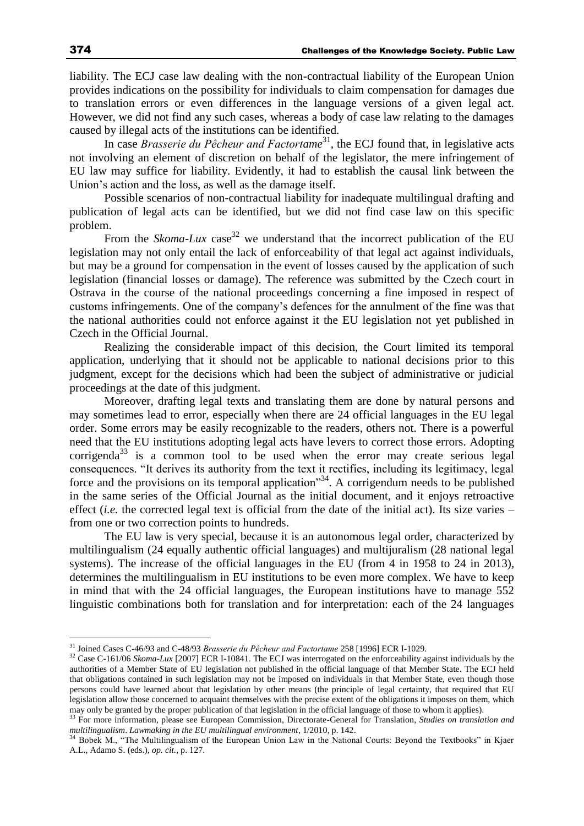liability. The ECJ case law dealing with the non-contractual liability of the European Union provides indications on the possibility for individuals to claim compensation for damages due to translation errors or even differences in the language versions of a given legal act. However, we did not find any such cases, whereas a body of case law relating to the damages caused by illegal acts of the institutions can be identified.

In case *Brasserie du Pêcheur and Factortame*<sup>31</sup>, the ECJ found that, in legislative acts not involving an element of discretion on behalf of the legislator, the mere infringement of EU law may suffice for liability. Evidently, it had to establish the causal link between the Union's action and the loss, as well as the damage itself.

Possible scenarios of non-contractual liability for inadequate multilingual drafting and publication of legal acts can be identified, but we did not find case law on this specific problem.

From the *Skoma-Lux* case<sup>32</sup> we understand that the incorrect publication of the EU legislation may not only entail the lack of enforceability of that legal act against individuals, but may be a ground for compensation in the event of losses caused by the application of such legislation (financial losses or damage). The reference was submitted by the Czech court in Ostrava in the course of the national proceedings concerning a fine imposed in respect of customs infringements. One of the company's defences for the annulment of the fine was that the national authorities could not enforce against it the EU legislation not yet published in Czech in the Official Journal.

Realizing the considerable impact of this decision, the Court limited its temporal application, underlying that it should not be applicable to national decisions prior to this judgment, except for the decisions which had been the subject of administrative or judicial proceedings at the date of this judgment.

Moreover, drafting legal texts and translating them are done by natural persons and may sometimes lead to error, especially when there are 24 official languages in the EU legal order. Some errors may be easily recognizable to the readers, others not. There is a powerful need that the EU institutions adopting legal acts have levers to correct those errors. Adopting corrigenda<sup>33</sup> is a common tool to be used when the error may create serious legal consequences. "It derives its authority from the text it rectifies, including its legitimacy, legal force and the provisions on its temporal application<sup>34</sup>. A corrigendum needs to be published in the same series of the Official Journal as the initial document, and it enjoys retroactive effect (*i.e.* the corrected legal text is official from the date of the initial act). Its size varies – from one or two correction points to hundreds.

The EU law is very special, because it is an autonomous legal order, characterized by multilingualism (24 equally authentic official languages) and multijuralism (28 national legal systems). The increase of the official languages in the EU (from 4 in 1958 to 24 in 2013), determines the multilingualism in EU institutions to be even more complex. We have to keep in mind that with the 24 official languages, the European institutions have to manage 552 linguistic combinations both for translation and for interpretation: each of the 24 languages

<sup>31</sup> Joined Cases C-46/93 and C-48/93 *Brasserie du Pêcheur and Factortame* 258 [1996] ECR I-1029.

<sup>&</sup>lt;sup>32</sup> Case C-161/06 *Skoma-Lux* [2007] ECR I-10841. The ECJ was interrogated on the enforceability against individuals by the authorities of a Member State of EU legislation not published in the official language of that Member State. The ECJ held that obligations contained in such legislation may not be imposed on individuals in that Member State, even though those persons could have learned about that legislation by other means (the principle of legal certainty, that required that EU legislation allow those concerned to acquaint themselves with the precise extent of the obligations it imposes on them, which may only be granted by the proper publication of that legislation in the official language of those to whom it applies).

<sup>33</sup> For more information, please see European Commission, Directorate-General for Translation, *Studies on translation and multilingualism*. *Lawmaking in the EU multilingual environment*, 1/2010, p. 142.

<sup>&</sup>lt;sup>34</sup> Bobek M., "The Multilingualism of the European Union Law in the National Courts: Beyond the Textbooks" in Kjaer A.L., Adamo S. (eds.), *op. cit.*, p. 127.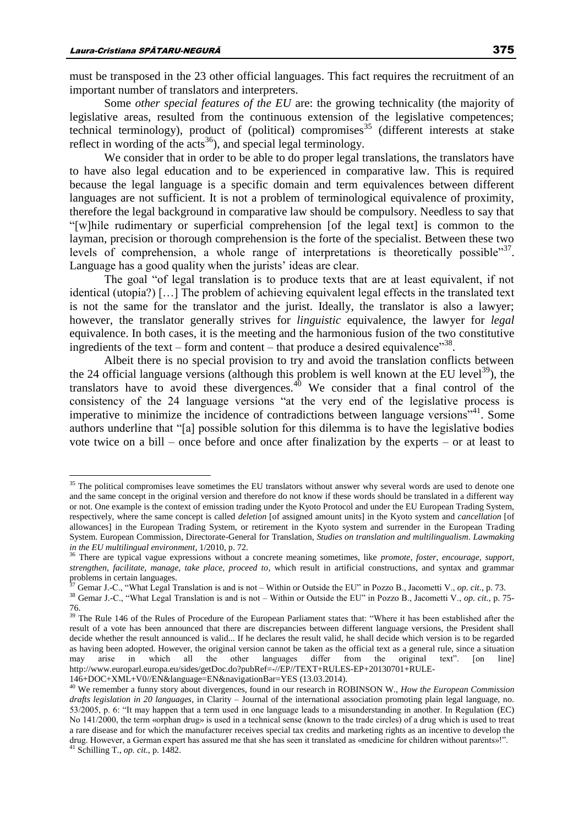$\overline{a}$ 

must be transposed in the 23 other official languages. This fact requires the recruitment of an important number of translators and interpreters.

Some *other special features of the EU* are: the growing technicality (the majority of legislative areas, resulted from the continuous extension of the legislative competences; technical terminology), product of (political) compromises<sup>35</sup> (different interests at stake reflect in wording of the  $acts^{36}$ , and special legal terminology.

We consider that in order to be able to do proper legal translations, the translators have to have also legal education and to be experienced in comparative law. This is required because the legal language is a specific domain and term equivalences between different languages are not sufficient. It is not a problem of terminological equivalence of proximity, therefore the legal background in comparative law should be compulsory. Needless to say that "[w]hile rudimentary or superficial comprehension [of the legal text] is common to the layman, precision or thorough comprehension is the forte of the specialist. Between these two levels of comprehension, a whole range of interpretations is theoretically possible" $37$ . Language has a good quality when the jurists' ideas are clear.

The goal "of legal translation is to produce texts that are at least equivalent, if not identical (utopia?) […] The problem of achieving equivalent legal effects in the translated text is not the same for the translator and the jurist. Ideally, the translator is also a lawyer; however, the translator generally strives for *linguistic* equivalence, the lawyer for *legal*  equivalence. In both cases, it is the meeting and the harmonious fusion of the two constitutive ingredients of the text – form and content – that produce a desired equivalence"<sup>38</sup>.

Albeit there is no special provision to try and avoid the translation conflicts between the 24 official language versions (although this problem is well known at the EU level<sup>39</sup>), the translators have to avoid these divergences.<sup>40</sup> We consider that a final control of the consistency of the 24 language versions "at the very end of the legislative process is imperative to minimize the incidence of contradictions between language versions<sup>"41</sup>. Some authors underline that "[a] possible solution for this dilemma is to have the legislative bodies vote twice on a bill – once before and once after finalization by the experts – or at least to

<sup>&</sup>lt;sup>35</sup> The political compromises leave sometimes the EU translators without answer why several words are used to denote one and the same concept in the original version and therefore do not know if these words should be translated in a different way or not. One example is the context of emission trading under the Kyoto Protocol and under the EU European Trading System, respectively, where the same concept is called *deletion* [of assigned amount units] in the Kyoto system and *cancellation* [of allowances] in the European Trading System, or retirement in the Kyoto system and surrender in the European Trading System. European Commission, Directorate-General for Translation, *Studies on translation and multilingualism*. *Lawmaking in the EU multilingual environment*, 1/2010, p. 72.

<sup>36</sup> There are typical vague expressions without a concrete meaning sometimes, like *promote, foster, encourage, support, strengthen, facilitate, manage, take place, proceed to*, which result in artificial constructions, and syntax and grammar problems in certain languages.

<sup>&</sup>lt;sup>7</sup> Gemar J.-C., "What Legal Translation is and is not – Within or Outside the EU" in Pozzo B., Jacometti V., *op. cit.*, p. 73.

<sup>38</sup> Gemar J.-C., "What Legal Translation is and is not – Within or Outside the EU" in Pozzo B., Jacometti V., *op. cit.*, p. 75- 76.

<sup>&</sup>lt;sup>39</sup> The Rule 146 of the Rules of Procedure of the European Parliament states that: "Where it has been established after the result of a vote has been announced that there are discrepancies between different language versions, the President shall decide whether the result announced is valid... If he declares the result valid, he shall decide which version is to be regarded as having been adopted. However, the original version cannot be taken as the official text as a general rule, since a situation may arise in which all the other languages differ from the original text". [on line] may arise in which all the other languages differ from the original text". [on line] http://www.europarl.europa.eu/sides/getDoc.do?pubRef=-//EP//TEXT+RULES-EP+20130701+RULE-146+DOC+XML+V0//EN&language=EN&navigationBar=YES (13.03.2014).

<sup>40</sup> We remember a funny story about divergences, found in our research in ROBINSON W., *How the European Commission drafts legislation in 20 languages*, in Clarity – Journal of the international association promoting plain legal language, no. 53/2005, p. 6: "It may happen that a term used in one language leads to a misunderstanding in another. In Regulation (EC) No 141/2000, the term «orphan drug» is used in a technical sense (known to the trade circles) of a drug which is used to treat a rare disease and for which the manufacturer receives special tax credits and marketing rights as an incentive to develop the drug. However, a German expert has assured me that she has seen it translated as «medicine for children without parents»!". <sup>41</sup> Schilling T., *op. cit.*, p. 1482.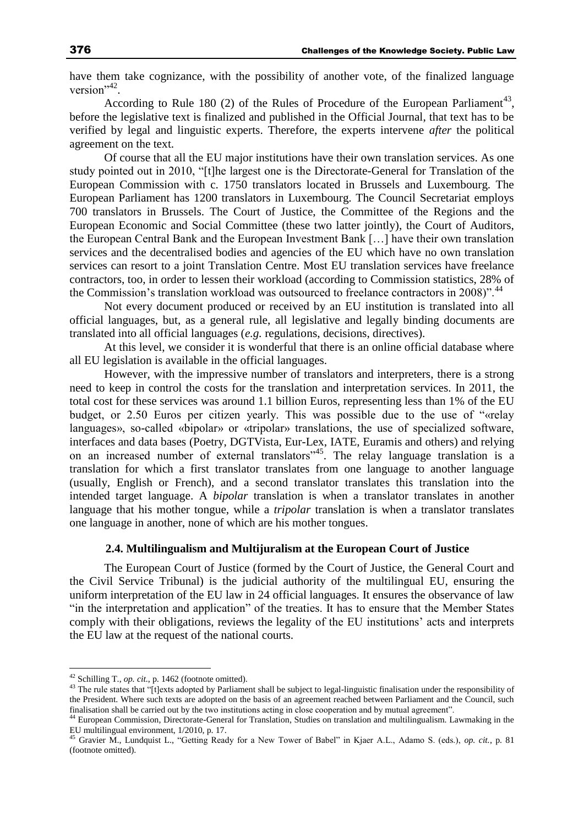have them take cognizance, with the possibility of another vote, of the finalized language version"<sup>42</sup>.

According to Rule 180 (2) of the Rules of Procedure of the European Parliament<sup>43</sup>, before the legislative text is finalized and published in the Official Journal, that text has to be verified by legal and linguistic experts. Therefore, the experts intervene *after* the political agreement on the text.

Of course that all the EU major institutions have their own translation services. As one study pointed out in 2010, "[t]he largest one is the Directorate-General for Translation of the European Commission with c. 1750 translators located in Brussels and Luxembourg. The European Parliament has 1200 translators in Luxembourg. The Council Secretariat employs 700 translators in Brussels. The Court of Justice, the Committee of the Regions and the European Economic and Social Committee (these two latter jointly), the Court of Auditors, the European Central Bank and the European Investment Bank […] have their own translation services and the decentralised bodies and agencies of the EU which have no own translation services can resort to a joint Translation Centre. Most EU translation services have freelance contractors, too, in order to lessen their workload (according to Commission statistics, 28% of the Commission's translation workload was outsourced to freelance contractors in 2008)".<sup>44</sup>

Not every document produced or received by an EU institution is translated into all official languages, but, as a general rule, all legislative and legally binding documents are translated into all official languages (*e.g.* regulations, decisions, directives).

At this level, we consider it is wonderful that there is an online official database where all EU legislation is available in the official languages.

However, with the impressive number of translators and interpreters, there is a strong need to keep in control the costs for the translation and interpretation services. In 2011, the total cost for these services was around 1.1 billion Euros, representing less than 1% of the EU budget, or 2.50 Euros per citizen yearly. This was possible due to the use of "«relay languages», so-called «bipolar» or «tripolar» translations, the use of specialized software, interfaces and data bases (Poetry, DGTVista, Eur-Lex, IATE, Euramis and others) and relying on an increased number of external translators", The relay language translation is a translation for which a first translator translates from one language to another language (usually, English or French), and a second translator translates this translation into the intended target language. A *bipolar* translation is when a translator translates in another language that his mother tongue, while a *tripolar* translation is when a translator translates one language in another, none of which are his mother tongues.

#### **2.4. Multilingualism and Multijuralism at the European Court of Justice**

The European Court of Justice (formed by the Court of Justice, the General Court and the Civil Service Tribunal) is the judicial authority of the multilingual EU, ensuring the uniform interpretation of the EU law in 24 official languages. It ensures the observance of law "in the interpretation and application" of the treaties. It has to ensure that the Member States comply with their obligations, reviews the legality of the EU institutions' acts and interprets the EU law at the request of the national courts.

 $42$  Schilling T., *op. cit.*, p. 1462 (footnote omitted).

<sup>&</sup>lt;sup>43</sup> The rule states that "[t]exts adopted by Parliament shall be subject to legal-linguistic finalisation under the responsibility of the President. Where such texts are adopted on the basis of an agreement reached between Parliament and the Council, such finalisation shall be carried out by the two institutions acting in close cooperation and by mutual agreement".

<sup>44</sup> European Commission, Directorate-General for Translation, Studies on translation and multilingualism. Lawmaking in the EU multilingual environment, 1/2010, p. 17.

<sup>45</sup> Gravier M., Lundquist L., "Getting Ready for a New Tower of Babel" in Kjaer A.L., Adamo S. (eds.), *op. cit.*, p. 81 (footnote omitted).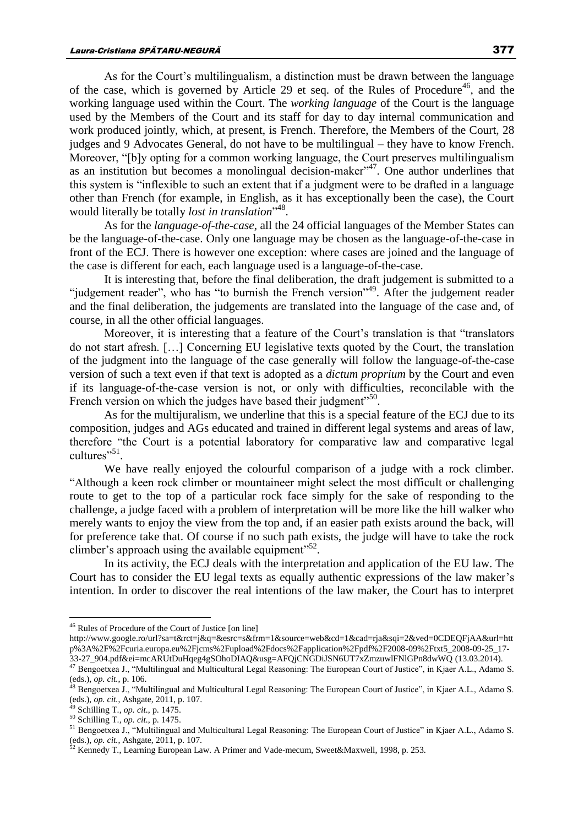As for the Court's multilingualism, a distinction must be drawn between the language of the case, which is governed by Article 29 et seq. of the Rules of Procedure<sup>46</sup>, and the working language used within the Court. The *working language* of the Court is the language used by the Members of the Court and its staff for day to day internal communication and work produced jointly, which, at present, is French. Therefore, the Members of the Court, 28 judges and 9 Advocates General, do not have to be multilingual – they have to know French. Moreover, "[b]y opting for a common working language, the Court preserves multilingualism as an institution but becomes a monolingual decision-maker<sup> $347$ </sup>. One author underlines that this system is "inflexible to such an extent that if a judgment were to be drafted in a language other than French (for example, in English, as it has exceptionally been the case), the Court would literally be totally *lost in translation*" 48 .

As for the *language-of-the-case*, all the 24 official languages of the Member States can be the language-of-the-case. Only one language may be chosen as the language-of-the-case in front of the ECJ. There is however one exception: where cases are joined and the language of the case is different for each, each language used is a language-of-the-case.

It is interesting that, before the final deliberation, the draft judgement is submitted to a "judgement reader", who has "to burnish the French version"<sup>49</sup>. After the judgement reader and the final deliberation, the judgements are translated into the language of the case and, of course, in all the other official languages.

Moreover, it is interesting that a feature of the Court's translation is that "translators do not start afresh. […] Concerning EU legislative texts quoted by the Court, the translation of the judgment into the language of the case generally will follow the language-of-the-case version of such a text even if that text is adopted as a *dictum proprium* by the Court and even if its language-of-the-case version is not, or only with difficulties, reconcilable with the French version on which the judges have based their judgment"<sup>50</sup>.

As for the multijuralism, we underline that this is a special feature of the ECJ due to its composition, judges and AGs educated and trained in different legal systems and areas of law, therefore "the Court is a potential laboratory for comparative law and comparative legal cultures"<sup>51</sup>.

We have really enjoyed the colourful comparison of a judge with a rock climber. "Although a keen rock climber or mountaineer might select the most difficult or challenging route to get to the top of a particular rock face simply for the sake of responding to the challenge, a judge faced with a problem of interpretation will be more like the hill walker who merely wants to enjoy the view from the top and, if an easier path exists around the back, will for preference take that. Of course if no such path exists, the judge will have to take the rock climber's approach using the available equipment" $52$ .

In its activity, the ECJ deals with the interpretation and application of the EU law. The Court has to consider the EU legal texts as equally authentic expressions of the law maker's intention. In order to discover the real intentions of the law maker, the Court has to interpret

<sup>&</sup>lt;sup>46</sup> Rules of Procedure of the Court of Justice [on line]

http://www.google.ro/url?sa=t&rct=j&q=&esrc=s&frm=1&source=web&cd=1&cad=rja&sqi=2&ved=0CDEQFjAA&url=htt p%3A%2F%2Fcuria.europa.eu%2Fjcms%2Fupload%2Fdocs%2Fapplication%2Fpdf%2F2008-09%2Ftxt5\_2008-09-25\_17-

<sup>33-27</sup>\_904.pdf&ei=mcARUtDuHqeg4gSOhoDIAQ&usg=AFQjCNGDiJSN6UT7xZmzuwlFNlGPn8dwWQ (13.03.2014). <sup>47</sup> Bengoetxea J., "Multilingual and Multicultural Legal Reasoning: The European Court of Justice", in Kjaer A.L., Adamo S. (eds.), *op. cit.*, p. 106.

<sup>&</sup>lt;sup>48</sup> Bengoetxea J., "Multilingual and Multicultural Legal Reasoning: The European Court of Justice", in Kjaer A.L., Adamo S. (eds.), *op. cit.*, Ashgate, 2011, p. 107.

<sup>49</sup> Schilling T., *op. cit.*, p. 1475.

<sup>50</sup> Schilling T., *op. cit.*, p. 1475.

<sup>51</sup> Bengoetxea J., "Multilingual and Multicultural Legal Reasoning: The European Court of Justice" in Kjaer A.L., Adamo S. (eds.), *op. cit.*, Ashgate, 2011, p. 107.

<sup>&</sup>lt;sup>52</sup> Kennedy T., Learning European Law. A Primer and Vade-mecum, Sweet&Maxwell, 1998, p. 253.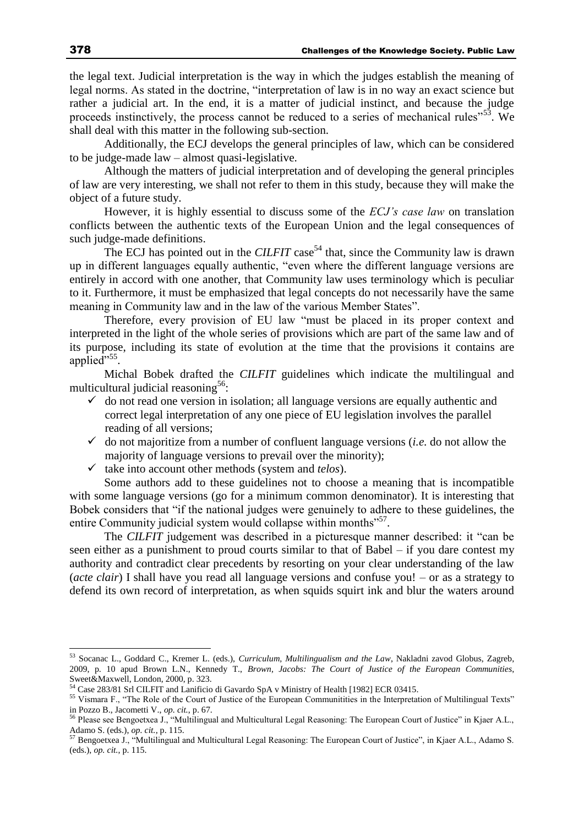the legal text. Judicial interpretation is the way in which the judges establish the meaning of legal norms. As stated in the doctrine, "interpretation of law is in no way an exact science but rather a judicial art. In the end, it is a matter of judicial instinct, and because the judge proceeds instinctively, the process cannot be reduced to a series of mechanical rules"<sup>53</sup>. We shall deal with this matter in the following sub-section.

Additionally, the ECJ develops the general principles of law, which can be considered to be judge-made law – almost quasi-legislative.

Although the matters of judicial interpretation and of developing the general principles of law are very interesting, we shall not refer to them in this study, because they will make the object of a future study.

However, it is highly essential to discuss some of the *ECJ's case law* on translation conflicts between the authentic texts of the European Union and the legal consequences of such judge-made definitions.

The ECJ has pointed out in the *CILFIT* case<sup>54</sup> that, since the Community law is drawn up in different languages equally authentic, "even where the different language versions are entirely in accord with one another, that Community law uses terminology which is peculiar to it. Furthermore, it must be emphasized that legal concepts do not necessarily have the same meaning in Community law and in the law of the various Member States".

Therefore, every provision of EU law "must be placed in its proper context and interpreted in the light of the whole series of provisions which are part of the same law and of its purpose, including its state of evolution at the time that the provisions it contains are applied"<sup>55</sup>.

Michal Bobek drafted the *CILFIT* guidelines which indicate the multilingual and multicultural judicial reasoning<sup>56</sup>:

- $\checkmark$  do not read one version in isolation; all language versions are equally authentic and correct legal interpretation of any one piece of EU legislation involves the parallel reading of all versions;
- $\checkmark$  do not majoritize from a number of confluent language versions (*i.e.* do not allow the majority of language versions to prevail over the minority);
- $\checkmark$  take into account other methods (system and *telos*).

Some authors add to these guidelines not to choose a meaning that is incompatible with some language versions (go for a minimum common denominator). It is interesting that Bobek considers that "if the national judges were genuinely to adhere to these guidelines, the entire Community judicial system would collapse within months"<sup>57</sup>.

The *CILFIT* judgement was described in a picturesque manner described: it "can be seen either as a punishment to proud courts similar to that of Babel – if you dare contest my authority and contradict clear precedents by resorting on your clear understanding of the law (*acte clair*) I shall have you read all language versions and confuse you! – or as a strategy to defend its own record of interpretation, as when squids squirt ink and blur the waters around

<sup>53</sup> Socanac L., Goddard C., Kremer L. (eds.), *Curriculum, Multilingualism and the Law*, Nakladni zavod Globus, Zagreb, 2009, p. 10 apud Brown L.N., Kennedy T., *Brown, Jacobs: The Court of Justice of the European Communities*, Sweet&Maxwell, London, 2000, p. 323.

<sup>54</sup> Case 283/81 Srl CILFIT and Lanificio di Gavardo SpA v Ministry of Health [1982] ECR 03415.

<sup>&</sup>lt;sup>55</sup> Vismara F., "The Role of the Court of Justice of the European Communitities in the Interpretation of Multilingual Texts" in Pozzo B., Jacometti V., *op. cit.*, p. 67.

<sup>&</sup>lt;sup>56</sup> Please see Bengoetxea J., "Multilingual and Multicultural Legal Reasoning: The European Court of Justice" in Kjaer A.L., Adamo S. (eds.), *op. cit.*, p. 115.

<sup>&</sup>lt;sup>57</sup> Bengoetxea J., "Multilingual and Multicultural Legal Reasoning: The European Court of Justice", in Kjaer A.L., Adamo S. (eds.), *op. cit.*, p. 115.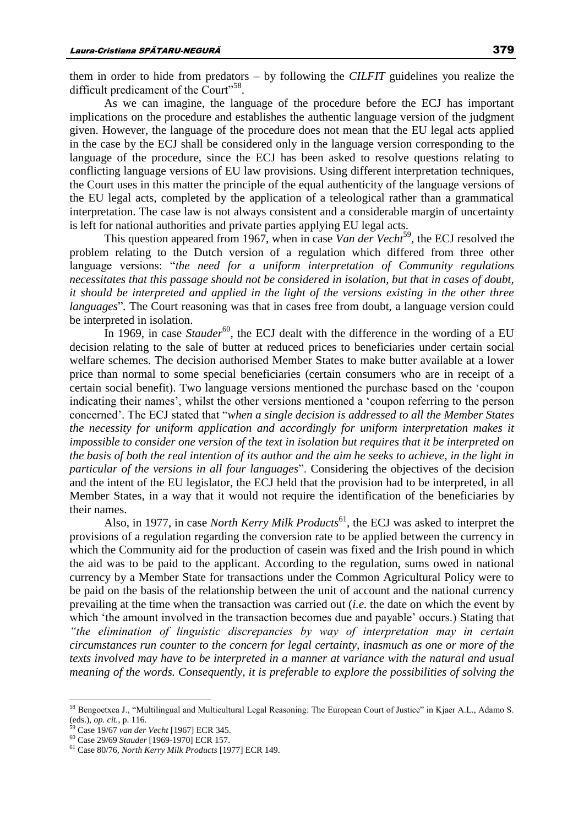them in order to hide from predators – by following the *CILFIT* guidelines you realize the difficult predicament of the Court"<sup>58</sup>.

As we can imagine, the language of the procedure before the ECJ has important implications on the procedure and establishes the authentic language version of the judgment given. However, the language of the procedure does not mean that the EU legal acts applied in the case by the ECJ shall be considered only in the language version corresponding to the language of the procedure, since the ECJ has been asked to resolve questions relating to conflicting language versions of EU law provisions. Using different interpretation techniques, the Court uses in this matter the principle of the equal authenticity of the language versions of the EU legal acts, completed by the application of a teleological rather than a grammatical interpretation. The case law is not always consistent and a considerable margin of uncertainty is left for national authorities and private parties applying EU legal acts.

This question appeared from 1967, when in case *Van der Vecht*<sup>59</sup>, the ECJ resolved the problem relating to the Dutch version of a regulation which differed from three other language versions: "*the need for a uniform interpretation of Community regulations necessitates that this passage should not be considered in isolation, but that in cases of doubt, it should be interpreted and applied in the light of the versions existing in the other three languages*". The Court reasoning was that in cases free from doubt, a language version could be interpreted in isolation.

In 1969, in case *Stauder*<sup>60</sup>, the ECJ dealt with the difference in the wording of a EU decision relating to the sale of butter at reduced prices to beneficiaries under certain social welfare schemes. The decision authorised Member States to make butter available at a lower price than normal to some special beneficiaries (certain consumers who are in receipt of a certain social benefit). Two language versions mentioned the purchase based on the 'coupon indicating their names', whilst the other versions mentioned a 'coupon referring to the person concerned'. The ECJ stated that "*when a single decision is addressed to all the Member States the necessity for uniform application and accordingly for uniform interpretation makes it impossible to consider one version of the text in isolation but requires that it be interpreted on the basis of both the real intention of its author and the aim he seeks to achieve, in the light in particular of the versions in all four languages*". Considering the objectives of the decision and the intent of the EU legislator, the ECJ held that the provision had to be interpreted, in all Member States, in a way that it would not require the identification of the beneficiaries by their names.

Also, in 1977, in case *North Kerry Milk Products*<sup>61</sup> , the ECJ was asked to interpret the provisions of a regulation regarding the conversion rate to be applied between the currency in which the Community aid for the production of casein was fixed and the Irish pound in which the aid was to be paid to the applicant. According to the regulation, sums owed in national currency by a Member State for transactions under the Common Agricultural Policy were to be paid on the basis of the relationship between the unit of account and the national currency prevailing at the time when the transaction was carried out (*i.e.* the date on which the event by which 'the amount involved in the transaction becomes due and payable' occurs.) Stating that *"the elimination of linguistic discrepancies by way of interpretation may in certain circumstances run counter to the concern for legal certainty, inasmuch as one or more of the texts involved may have to be interpreted in a manner at variance with the natural and usual meaning of the words. Consequently, it is preferable to explore the possibilities of solving the* 

<sup>58</sup> Bengoetxea J., "Multilingual and Multicultural Legal Reasoning: The European Court of Justice" in Kjaer A.L., Adamo S. (eds.), *op. cit.*, p. 116.

<sup>59</sup> Case 19/67 *van der Vecht* [1967] ECR 345.

<sup>60</sup> Case 29/69 *Stauder* [1969-1970] ECR 157.

<sup>61</sup> Case 80/76*, North Kerry Milk Products* [1977] ECR 149.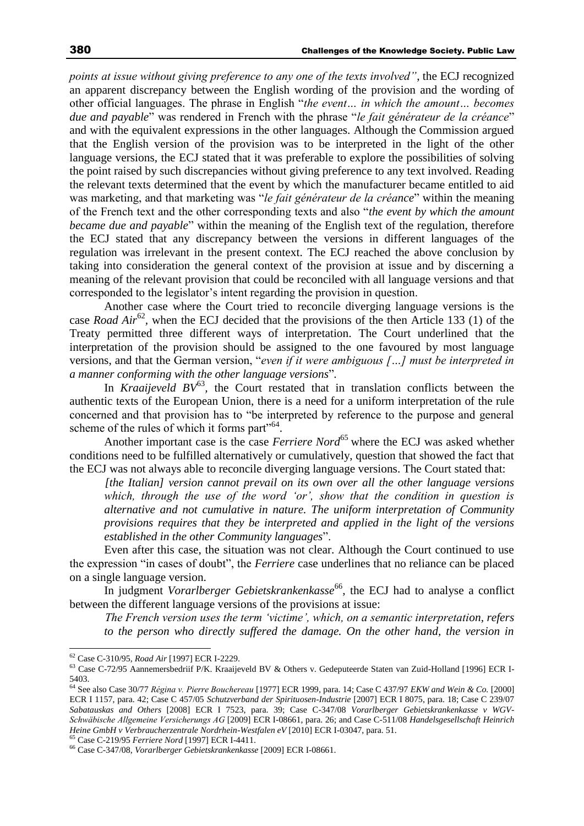*points at issue without giving preference to any one of the texts involved"*, the ECJ recognized an apparent discrepancy between the English wording of the provision and the wording of other official languages. The phrase in English "*the event… in which the amount… becomes due and payable*" was rendered in French with the phrase "*le fait générateur de la créance*" and with the equivalent expressions in the other languages. Although the Commission argued that the English version of the provision was to be interpreted in the light of the other language versions, the ECJ stated that it was preferable to explore the possibilities of solving the point raised by such discrepancies without giving preference to any text involved. Reading the relevant texts determined that the event by which the manufacturer became entitled to aid was marketing, and that marketing was "*le fait générateur de la créance*" within the meaning of the French text and the other corresponding texts and also "*the event by which the amount became due and payable*" within the meaning of the English text of the regulation, therefore the ECJ stated that any discrepancy between the versions in different languages of the regulation was irrelevant in the present context. The ECJ reached the above conclusion by taking into consideration the general context of the provision at issue and by discerning a meaning of the relevant provision that could be reconciled with all language versions and that corresponded to the legislator's intent regarding the provision in question.

Another case where the Court tried to reconcile diverging language versions is the case *Road Air*<sup>62</sup>, when the ECJ decided that the provisions of the then Article 133 (1) of the Treaty permitted three different ways of interpretation. The Court underlined that the interpretation of the provision should be assigned to the one favoured by most language versions, and that the German version, "*even if it were ambiguous […] must be interpreted in a manner conforming with the other language versions*"*.* 

In *Kraaijeveld*  $BV^{63}$ *,* the Court restated that in translation conflicts between the authentic texts of the European Union, there is a need for a uniform interpretation of the rule concerned and that provision has to "be interpreted by reference to the purpose and general scheme of the rules of which it forms part"<sup>64</sup>.

Another important case is the case *Ferriere Nord*<sup>65</sup> where the ECJ was asked whether conditions need to be fulfilled alternatively or cumulatively, question that showed the fact that the ECJ was not always able to reconcile diverging language versions. The Court stated that:

*[the Italian] version cannot prevail on its own over all the other language versions which, through the use of the word 'or', show that the condition in question is alternative and not cumulative in nature. The uniform interpretation of Community provisions requires that they be interpreted and applied in the light of the versions established in the other Community languages*".

Even after this case, the situation was not clear. Although the Court continued to use the expression "in cases of doubt", the *Ferriere* case underlines that no reliance can be placed on a single language version.

In judgment *Vorarlberger Gebietskrankenkasse*<sup>66</sup>, the ECJ had to analyse a conflict between the different language versions of the provisions at issue:

*The French version uses the term 'victime', which, on a semantic interpretation, refers to the person who directly suffered the damage. On the other hand, the version in* 

 $\overline{a}$ 

<sup>65</sup> Case C-219/95 *Ferriere Nord* [1997] ECR I-4411.

<sup>62</sup> Case C-310/95*, Road Air* [1997] ECR I-2229.

<sup>63</sup> Case C-72/95 Aannemersbedriif P/K. Kraaijeveld BV & Others v. Gedeputeerde Staten van Zuid-Holland [1996] ECR I-5403.

<sup>64</sup> See also Case 30/77 *Régina v. Pierre Bouchereau* [1977] ECR 1999, para. 14; Case C 437/97 *EKW and Wein & Co.* [2000] ECR I 1157, para. 42; Case C 457/05 *Schutzverband der Spirituosen-Industrie* [2007] ECR I 8075, para. 18; Case C 239/07 *Sabatauskas and Others* [2008] ECR I 7523, para. 39; Case C-347/08 *Vorarlberger Gebietskrankenkasse v WGV-Schwäbische Allgemeine Versicherungs AG* [2009] ECR I-08661, para. 26; and Case C-511/08 *Handelsgesellschaft Heinrich Heine GmbH v Verbraucherzentrale Nordrhein-Westfalen eV* [2010] ECR I-03047, para. 51.

<sup>66</sup> Case C-347/08, *Vorarlberger Gebietskrankenkasse* [2009] ECR I-08661.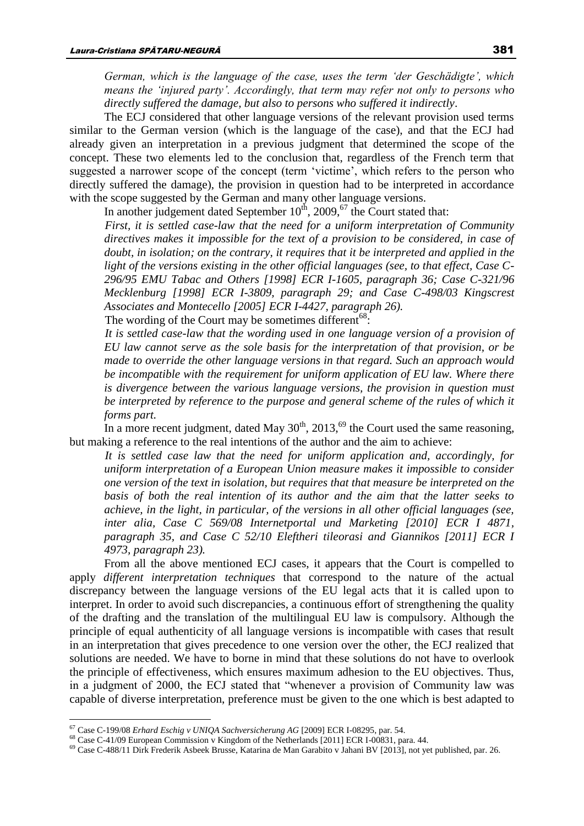*German, which is the language of the case, uses the term 'der Geschädigte', which means the 'injured party'. Accordingly, that term may refer not only to persons who directly suffered the damage, but also to persons who suffered it indirectly*.

The ECJ considered that other language versions of the relevant provision used terms similar to the German version (which is the language of the case), and that the ECJ had already given an interpretation in a previous judgment that determined the scope of the concept. These two elements led to the conclusion that, regardless of the French term that suggested a narrower scope of the concept (term 'victime', which refers to the person who directly suffered the damage), the provision in question had to be interpreted in accordance with the scope suggested by the German and many other language versions.

In another judgement dated September  $10^{th}$ , 2009,<sup>67</sup> the Court stated that:

*First, it is settled case-law that the need for a uniform interpretation of Community directives makes it impossible for the text of a provision to be considered, in case of doubt, in isolation; on the contrary, it requires that it be interpreted and applied in the light of the versions existing in the other official languages (see, to that effect, Case C-296/95 EMU Tabac and Others [1998] ECR I-1605, paragraph 36; Case C-321/96 Mecklenburg [1998] ECR I-3809, paragraph 29; and Case C-498/03 Kingscrest Associates and Montecello [2005] ECR I-4427, paragraph 26).*

The wording of the Court may be sometimes different<sup>68</sup>:

*It is settled case-law that the wording used in one language version of a provision of EU law cannot serve as the sole basis for the interpretation of that provision, or be made to override the other language versions in that regard. Such an approach would be incompatible with the requirement for uniform application of EU law. Where there is divergence between the various language versions, the provision in question must be interpreted by reference to the purpose and general scheme of the rules of which it forms part.*

In a more recent judgment, dated May  $30<sup>th</sup>$ ,  $2013<sup>69</sup>$ , the Court used the same reasoning, but making a reference to the real intentions of the author and the aim to achieve:

*It is settled case law that the need for uniform application and, accordingly, for uniform interpretation of a European Union measure makes it impossible to consider one version of the text in isolation, but requires that that measure be interpreted on the basis of both the real intention of its author and the aim that the latter seeks to achieve, in the light, in particular, of the versions in all other official languages (see, inter alia, Case C 569/08 Internetportal und Marketing [2010] ECR I 4871, paragraph 35, and Case C 52/10 Eleftheri tileorasi and Giannikos [2011] ECR I 4973, paragraph 23).*

From all the above mentioned ECJ cases, it appears that the Court is compelled to apply *different interpretation techniques* that correspond to the nature of the actual discrepancy between the language versions of the EU legal acts that it is called upon to interpret. In order to avoid such discrepancies, a continuous effort of strengthening the quality of the drafting and the translation of the multilingual EU law is compulsory. Although the principle of equal authenticity of all language versions is incompatible with cases that result in an interpretation that gives precedence to one version over the other, the ECJ realized that solutions are needed. We have to borne in mind that these solutions do not have to overlook the principle of effectiveness, which ensures maximum adhesion to the EU objectives. Thus, in a judgment of 2000, the ECJ stated that "whenever a provision of Community law was capable of diverse interpretation, preference must be given to the one which is best adapted to

<sup>67</sup> Case C-199/08 *Erhard Eschig v UNIQA Sachversicherung AG* [2009] ECR I-08295, par. 54.

<sup>68</sup> Case C-41/09 European Commission v Kingdom of the Netherlands [2011] ECR I-00831, para. 44.

<sup>69</sup> Case C-488/11 Dirk Frederik Asbeek Brusse, Katarina de Man Garabito v Jahani BV [2013], not yet published, par. 26.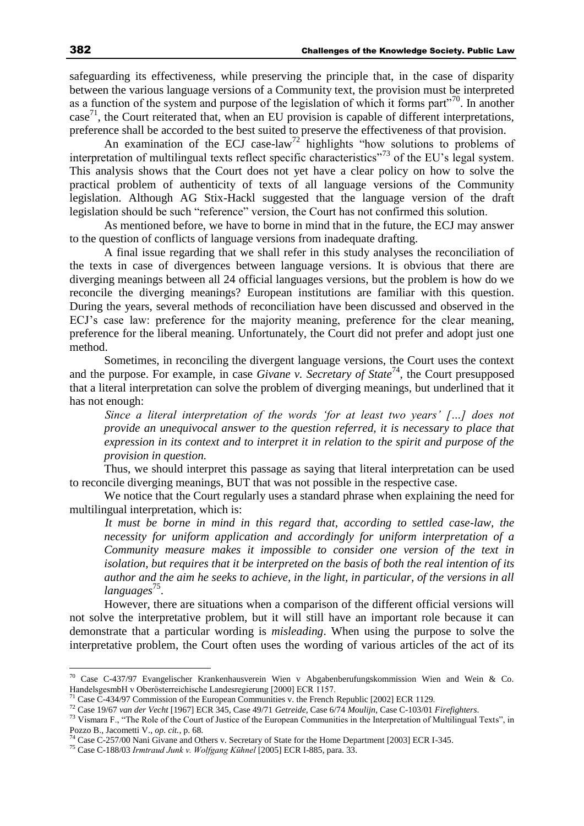safeguarding its effectiveness, while preserving the principle that, in the case of disparity between the various language versions of a Community text, the provision must be interpreted as a function of the system and purpose of the legislation of which it forms part<sup>"70</sup>. In another case<sup>71</sup>, the Court reiterated that, when an EU provision is capable of different interpretations, preference shall be accorded to the best suited to preserve the effectiveness of that provision.

An examination of the ECJ case-law<sup>72</sup> highlights "how solutions to problems of interpretation of multilingual texts reflect specific characteristics<sup>"73</sup> of the EU's legal system. This analysis shows that the Court does not yet have a clear policy on how to solve the practical problem of authenticity of texts of all language versions of the Community legislation. Although AG Stix-Hackl suggested that the language version of the draft legislation should be such "reference" version, the Court has not confirmed this solution.

As mentioned before, we have to borne in mind that in the future, the ECJ may answer to the question of conflicts of language versions from inadequate drafting.

A final issue regarding that we shall refer in this study analyses the reconciliation of the texts in case of divergences between language versions. It is obvious that there are diverging meanings between all 24 official languages versions, but the problem is how do we reconcile the diverging meanings? European institutions are familiar with this question. During the years, several methods of reconciliation have been discussed and observed in the ECJ's case law: preference for the majority meaning, preference for the clear meaning, preference for the liberal meaning. Unfortunately, the Court did not prefer and adopt just one method.

Sometimes, in reconciling the divergent language versions, the Court uses the context and the purpose. For example, in case *Givane v. Secretary of State*<sup>74</sup>, the Court presupposed that a literal interpretation can solve the problem of diverging meanings, but underlined that it has not enough:

*Since a literal interpretation of the words 'for at least two years' […] does not provide an unequivocal answer to the question referred, it is necessary to place that expression in its context and to interpret it in relation to the spirit and purpose of the provision in question.*

Thus, we should interpret this passage as saying that literal interpretation can be used to reconcile diverging meanings, BUT that was not possible in the respective case.

We notice that the Court regularly uses a standard phrase when explaining the need for multilingual interpretation, which is:

*It must be borne in mind in this regard that, according to settled case-law, the necessity for uniform application and accordingly for uniform interpretation of a Community measure makes it impossible to consider one version of the text in isolation, but requires that it be interpreted on the basis of both the real intention of its author and the aim he seeks to achieve, in the light, in particular, of the versions in all languages*<sup>75</sup> .

However, there are situations when a comparison of the different official versions will not solve the interpretative problem, but it will still have an important role because it can demonstrate that a particular wording is *misleading*. When using the purpose to solve the interpretative problem, the Court often uses the wording of various articles of the act of its

<sup>&</sup>lt;sup>70</sup> Case C-437/97 Evangelischer Krankenhausverein Wien v Abgabenberufungskommission Wien and Wein & Co. HandelsgesmbH v Oberösterreichische Landesregierung [2000] ECR 1157.

<sup>&</sup>lt;sup>71</sup> Case C-434/97 Commission of the European Communities v. the French Republic [2002] ECR 1129.

<sup>72</sup> Case 19/67 *van der Vecht* [1967] ECR 345, Case 49/71 *Getreide*, Case 6/74 *Moulijn*, Case C-103/01 *Firefighters*.

<sup>&</sup>lt;sup>73</sup> Vismara F., "The Role of the Court of Justice of the European Communities in the Interpretation of Multilingual Texts", in Pozzo B., Jacometti V., *op. cit.*, p. 68.

<sup>&</sup>lt;sup>74</sup> Case C-257/00 Nani Givane and Others v. Secretary of State for the Home Department [2003] ECR I-345.

<sup>75</sup> Case C-188/03 *Irmtraud Junk v. Wolfgang Kūhnel* [2005] ECR I-885, para. 33.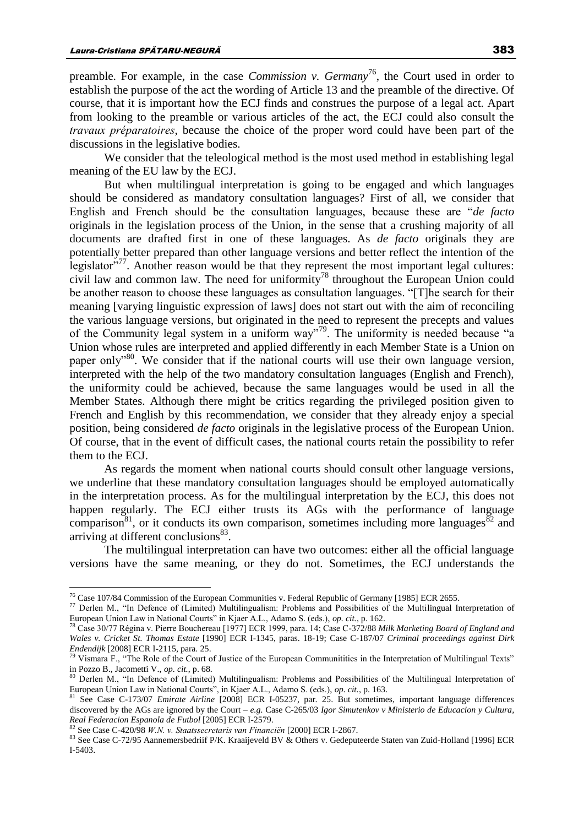preamble. For example, in the case *Commission v. Germany*<sup>76</sup>, the Court used in order to establish the purpose of the act the wording of Article 13 and the preamble of the directive. Of course, that it is important how the ECJ finds and construes the purpose of a legal act. Apart from looking to the preamble or various articles of the act, the ECJ could also consult the *travaux préparatoires*, because the choice of the proper word could have been part of the discussions in the legislative bodies.

We consider that the teleological method is the most used method in establishing legal meaning of the EU law by the ECJ.

But when multilingual interpretation is going to be engaged and which languages should be considered as mandatory consultation languages? First of all, we consider that English and French should be the consultation languages, because these are "*de facto* originals in the legislation process of the Union, in the sense that a crushing majority of all documents are drafted first in one of these languages. As *de facto* originals they are potentially better prepared than other language versions and better reflect the intention of the legislator"<sup>77</sup>. Another reason would be that they represent the most important legal cultures: civil law and common law. The need for uniformity<sup>78</sup> throughout the European Union could be another reason to choose these languages as consultation languages. "[T]he search for their meaning [varying linguistic expression of laws] does not start out with the aim of reconciling the various language versions, but originated in the need to represent the precepts and values of the Community legal system in a uniform way"<sup>79</sup>. The uniformity is needed because "a Union whose rules are interpreted and applied differently in each Member State is a Union on paper only<sup> $380$ </sup>. We consider that if the national courts will use their own language version, interpreted with the help of the two mandatory consultation languages (English and French), the uniformity could be achieved, because the same languages would be used in all the Member States. Although there might be critics regarding the privileged position given to French and English by this recommendation, we consider that they already enjoy a special position, being considered *de facto* originals in the legislative process of the European Union. Of course, that in the event of difficult cases, the national courts retain the possibility to refer them to the ECJ.

As regards the moment when national courts should consult other language versions, we underline that these mandatory consultation languages should be employed automatically in the interpretation process. As for the multilingual interpretation by the ECJ, this does not happen regularly. The ECJ either trusts its AGs with the performance of language comparison<sup>81</sup>, or it conducts its own comparison, sometimes including more languages<sup>82</sup> and arriving at different conclusions<sup>83</sup>.

The multilingual interpretation can have two outcomes: either all the official language versions have the same meaning, or they do not. Sometimes, the ECJ understands the

<sup>&</sup>lt;sup>76</sup> Case 107/84 Commission of the European Communities v. Federal Republic of Germany [1985] ECR 2655.

<sup>77</sup> Derlen M., "In Defence of (Limited) Multilingualism: Problems and Possibilities of the Multilingual Interpretation of European Union Law in National Courts" in Kjaer A.L., Adamo S. (eds.), *op. cit.*, p. 162.

<sup>78</sup> Case 30/77 Régina v. Pierre Bouchereau [1977] ECR 1999, para. 14; Case C-372/88 *Milk Marketing Board of England and Wales v. Cricket St. Thomas Estate* [1990] ECR I-1345, paras. 18-19; Case C-187/07 *Criminal proceedings against Dirk Endendijk* [2008] ECR I-2115, para. 25.

<sup>&</sup>lt;sup>79</sup> Vismara F., "The Role of the Court of Justice of the European Communitities in the Interpretation of Multilingual Texts" in Pozzo B., Jacometti V., *op. cit.*, p. 68.

<sup>80</sup> Derlen M., "In Defence of (Limited) Multilingualism: Problems and Possibilities of the Multilingual Interpretation of European Union Law in National Courts", in Kjaer A.L., Adamo S. (eds.), *op. cit.*, p. 163.

<sup>81</sup> See Case C-173/07 *Emirate Airline* [2008] ECR I-05237, par. 25. But sometimes, important language differences discovered by the AGs are ignored by the Court – *e.g.* Case C-265/03 *Igor Simutenkov v Ministerio de Educacion y Cultura, Real Federacion Espanola de Futbol* [2005] ECR I-2579.

<sup>82</sup> See Case C-420/98 *W.N. v. Staatssecretaris van Financiën* [2000] ECR I-2867.

<sup>83</sup> See Case C-72/95 Aannemersbedriif P/K. Kraaijeveld BV & Others v. Gedeputeerde Staten van Zuid-Holland [1996] ECR I-5403.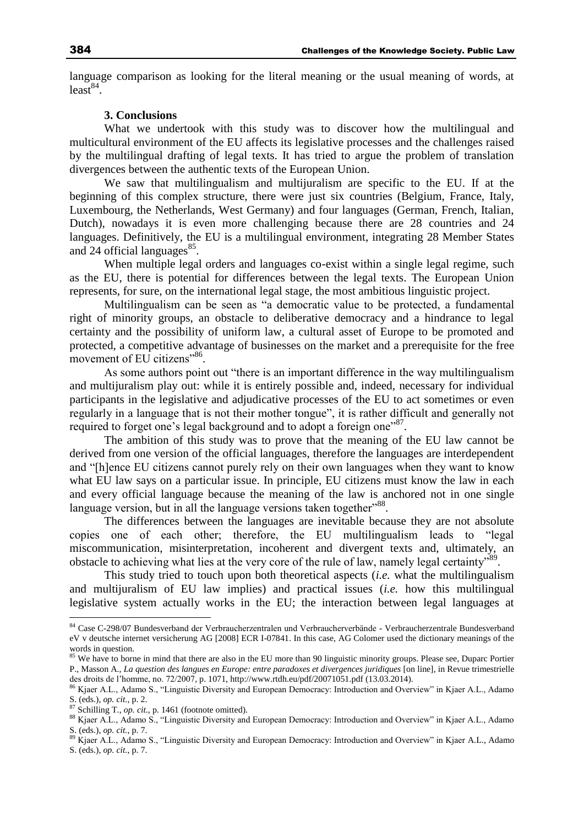language comparison as looking for the literal meaning or the usual meaning of words, at  $least^{84}$ .

#### **3. Conclusions**

What we undertook with this study was to discover how the multilingual and multicultural environment of the EU affects its legislative processes and the challenges raised by the multilingual drafting of legal texts. It has tried to argue the problem of translation divergences between the authentic texts of the European Union.

We saw that multilingualism and multijuralism are specific to the EU. If at the beginning of this complex structure, there were just six countries (Belgium, France, Italy, Luxembourg, the Netherlands, West Germany) and four languages (German, French, Italian, Dutch), nowadays it is even more challenging because there are 28 countries and 24 languages. Definitively, the EU is a multilingual environment, integrating 28 Member States and 24 official languages $^{85}$ .

When multiple legal orders and languages co-exist within a single legal regime, such as the EU, there is potential for differences between the legal texts. The European Union represents, for sure, on the international legal stage, the most ambitious linguistic project.

Multilingualism can be seen as "a democratic value to be protected, a fundamental right of minority groups, an obstacle to deliberative democracy and a hindrance to legal certainty and the possibility of uniform law, a cultural asset of Europe to be promoted and protected, a competitive advantage of businesses on the market and a prerequisite for the free movement of EU citizens"<sup>86</sup>.

As some authors point out "there is an important difference in the way multilingualism and multijuralism play out: while it is entirely possible and, indeed, necessary for individual participants in the legislative and adjudicative processes of the EU to act sometimes or even regularly in a language that is not their mother tongue", it is rather difficult and generally not required to forget one's legal background and to adopt a foreign one"87.

The ambition of this study was to prove that the meaning of the EU law cannot be derived from one version of the official languages, therefore the languages are interdependent and "[h]ence EU citizens cannot purely rely on their own languages when they want to know what EU law says on a particular issue. In principle, EU citizens must know the law in each and every official language because the meaning of the law is anchored not in one single language version, but in all the language versions taken together"<sup>88</sup>.

The differences between the languages are inevitable because they are not absolute copies one of each other; therefore, the EU multilingualism leads to "legal miscommunication, misinterpretation, incoherent and divergent texts and, ultimately, an obstacle to achieving what lies at the very core of the rule of law, namely legal certainty" .

This study tried to touch upon both theoretical aspects (*i.e.* what the multilingualism and multijuralism of EU law implies) and practical issues (*i.e.* how this multilingual legislative system actually works in the EU; the interaction between legal languages at

<sup>&</sup>lt;sup>84</sup> Case C-298/07 Bundesverband der Verbraucherzentralen und Verbraucherverbände - Verbraucherzentrale Bundesverband eV v deutsche internet versicherung AG [2008] ECR I-07841. In this case, AG Colomer used the dictionary meanings of the words in question.

<sup>&</sup>lt;sup>85</sup> We have to borne in mind that there are also in the EU more than 90 linguistic minority groups. Please see, Duparc Portier P., Masson A., *La question des langues en Europe: entre paradoxes et divergences juridiques* [on line], in Revue trimestrielle des droits de l'homme, no. 72/2007, p. 1071, http://www.rtdh.eu/pdf/20071051.pdf (13.03.2014).

<sup>&</sup>lt;sup>86</sup> Kjaer A.L., Adamo S., "Linguistic Diversity and European Democracy: Introduction and Overview" in Kjaer A.L., Adamo S. (eds.), *op. cit.*, p. 2.

<sup>87</sup> Schilling T., *op. cit.*, p. 1461 (footnote omitted).

<sup>88</sup> Kjaer A.L., Adamo S., "Linguistic Diversity and European Democracy: Introduction and Overview" in Kjaer A.L., Adamo S. (eds.), *op. cit.*, p. 7.

<sup>&</sup>lt;sup>89</sup> Kjaer A.L., Adamo S., "Linguistic Diversity and European Democracy: Introduction and Overview" in Kjaer A.L., Adamo S. (eds.), *op. cit.*, p. 7.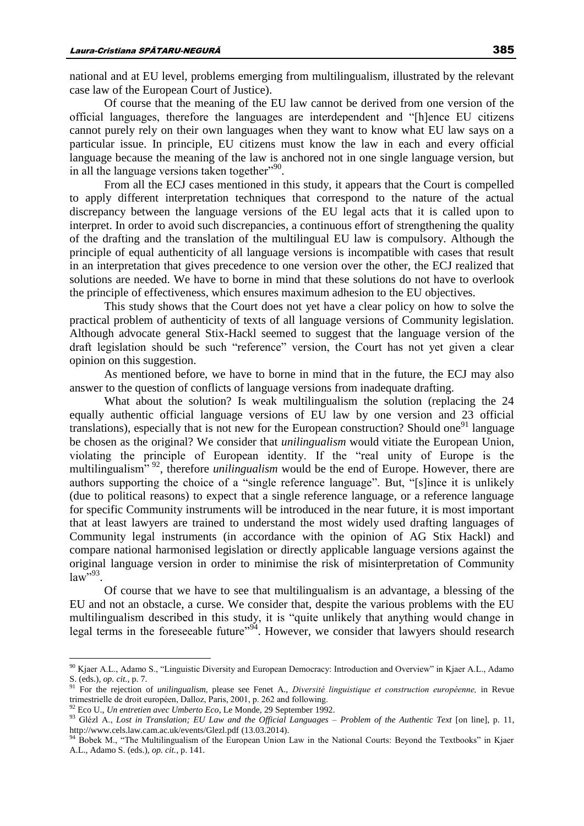national and at EU level, problems emerging from multilingualism, illustrated by the relevant case law of the European Court of Justice).

Of course that the meaning of the EU law cannot be derived from one version of the official languages, therefore the languages are interdependent and "[h]ence EU citizens cannot purely rely on their own languages when they want to know what EU law says on a particular issue. In principle, EU citizens must know the law in each and every official language because the meaning of the law is anchored not in one single language version, but in all the language versions taken together"<sup>90</sup>.

From all the ECJ cases mentioned in this study, it appears that the Court is compelled to apply different interpretation techniques that correspond to the nature of the actual discrepancy between the language versions of the EU legal acts that it is called upon to interpret. In order to avoid such discrepancies, a continuous effort of strengthening the quality of the drafting and the translation of the multilingual EU law is compulsory. Although the principle of equal authenticity of all language versions is incompatible with cases that result in an interpretation that gives precedence to one version over the other, the ECJ realized that solutions are needed. We have to borne in mind that these solutions do not have to overlook the principle of effectiveness, which ensures maximum adhesion to the EU objectives.

This study shows that the Court does not yet have a clear policy on how to solve the practical problem of authenticity of texts of all language versions of Community legislation. Although advocate general Stix-Hackl seemed to suggest that the language version of the draft legislation should be such "reference" version, the Court has not yet given a clear opinion on this suggestion.

As mentioned before, we have to borne in mind that in the future, the ECJ may also answer to the question of conflicts of language versions from inadequate drafting.

What about the solution? Is weak multilingualism the solution (replacing the 24 equally authentic official language versions of EU law by one version and 23 official translations), especially that is not new for the European construction? Should one<sup>91</sup> language be chosen as the original? We consider that *unilingualism* would vitiate the European Union, violating the principle of European identity. If the "real unity of Europe is the multilingualism<sup>", 92</sup>, therefore *unilingualism* would be the end of Europe. However, there are authors supporting the choice of a "single reference language". But, "[s]ince it is unlikely (due to political reasons) to expect that a single reference language, or a reference language for specific Community instruments will be introduced in the near future, it is most important that at least lawyers are trained to understand the most widely used drafting languages of Community legal instruments (in accordance with the opinion of AG Stix Hackl) and compare national harmonised legislation or directly applicable language versions against the original language version in order to minimise the risk of misinterpretation of Community  $law^{5,93}$ .

Of course that we have to see that multilingualism is an advantage, a blessing of the EU and not an obstacle, a curse. We consider that, despite the various problems with the EU multilingualism described in this study, it is "quite unlikely that anything would change in legal terms in the foreseeable future"<sup>94</sup>. However, we consider that lawyers should research

<sup>&</sup>lt;sup>90</sup> Kjaer A.L., Adamo S., "Linguistic Diversity and European Democracy: Introduction and Overview" in Kjaer A.L., Adamo S. (eds.), *op. cit.*, p. 7.

<sup>91</sup> For the rejection of *unilingualism*, please see Fenet A., *Diversité linguistique et construction européenne,* in Revue trimestrielle de droit européen, Dalloz, Paris, 2001, p. 262 and following.

<sup>92</sup> Eco U., *Un entretien avec Umberto Eco*, Le Monde, 29 September 1992.

<sup>93</sup> Glézl A., *Lost in Translation; EU Law and the Official Languages – Problem of the Authentic Text* [on line], p. 11, http://www.cels.law.cam.ac.uk/events/Glezl.pdf (13.03.2014).

<sup>&</sup>lt;sup>94</sup> Bobek M., "The Multilingualism of the European Union Law in the National Courts: Beyond the Textbooks" in Kjaer A.L., Adamo S. (eds.), *op. cit.*, p. 141.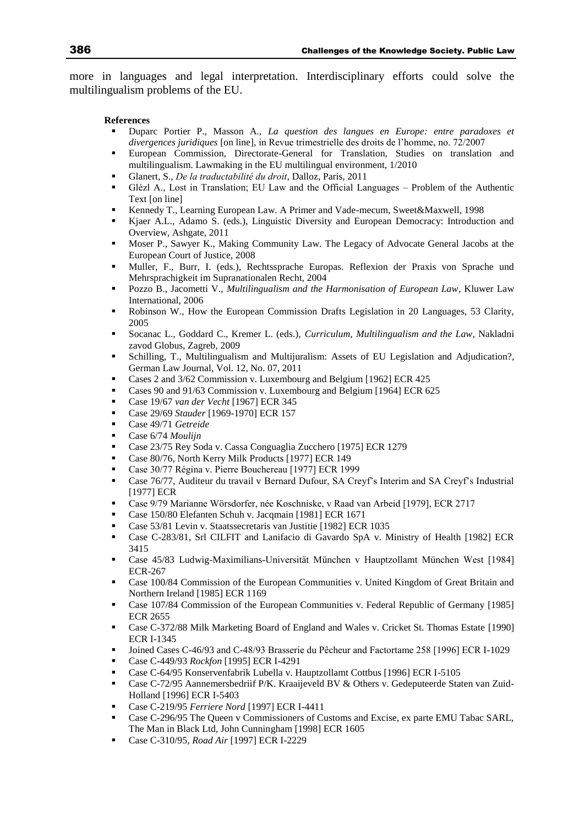more in languages and legal interpretation. Interdisciplinary efforts could solve the multilingualism problems of the EU.

#### **References**

- Duparc Portier P., Masson A., *La question des langues en Europe: entre paradoxes et divergences juridiques* [on line], in Revue trimestrielle des droits de l'homme, no. 72/2007
- European Commission, Directorate-General for Translation, Studies on translation and multilingualism. Lawmaking in the EU multilingual environment, 1/2010
- Glanert, S., *De la traductabilité du droit*, Dalloz, Paris, 2011
- Glézl A., Lost in Translation; EU Law and the Official Languages Problem of the Authentic Text [on line]
- Kennedy T., Learning European Law. A Primer and Vade-mecum, Sweet&Maxwell, 1998
- Kjaer A.L., Adamo S. (eds.), Linguistic Diversity and European Democracy: Introduction and Overview, Ashgate, 2011
- Moser P., Sawyer K., Making Community Law. The Legacy of Advocate General Jacobs at the European Court of Justice, 2008
- Muller, F., Burr, I. (eds.), Rechtssprache Europas. Reflexion der Praxis von Sprache und Mehrsprachigkeit im Supranationalen Recht, 2004
- Pozzo B., Jacometti V., *Multilingualism and the Harmonisation of European Law*, Kluwer Law International, 2006
- Robinson W., How the European Commission Drafts Legislation in 20 Languages, 53 Clarity, 2005
- Socanac L., Goddard C., Kremer L. (eds.), *Curriculum, Multilingualism and the Law*, Nakladni zavod Globus, Zagreb, 2009
- Schilling, T., Multilingualism and Multijuralism: Assets of EU Legislation and Adjudication?, German Law Journal, Vol. 12, No. 07, 2011
- Cases 2 and 3/62 Commission v. Luxembourg and Belgium [1962] ECR 425
- Cases 90 and 91/63 Commission v. Luxembourg and Belgium [1964] ECR 625
- Case 19/67 *van der Vecht* [1967] ECR 345
- Case 29/69 *Stauder* [1969-1970] ECR 157
- Case 49/71 *Getreide*
- Case 6/74 *Moulijn*
- Case 23/75 Rey Soda v. Cassa Conguaglia Zucchero [1975] ECR 1279
- Case 80/76, North Kerry Milk Products [1977] ECR 149
- Case 30/77 Régina v. Pierre Bouchereau [1977] ECR 1999
- Case 76/77, Auditeur du travail v Bernard Dufour, SA Creyf's Interim and SA Creyf's Industrial [1977] ECR
- Case 9/79 Marianne Wörsdorfer, née Koschniske, v Raad van Arbeid [1979], ECR 2717
- Case 150/80 Elefanten Schuh v. Jacqmain [1981] ECR 1671
- Case 53/81 Levin v. Staatssecretaris van Justitie [1982] ECR 1035
- Case C-283/81, Srl CILFIT and Lanifacio di Gavardo SpA v. Ministry of Health [1982] ECR 3415
- Case 45/83 Ludwig-Maximilians-Universität München v Hauptzollamt München West [1984] ECR-267
- Case 100/84 Commission of the European Communities v. United Kingdom of Great Britain and Northern Ireland [1985] ECR 1169
- Case 107/84 Commission of the European Communities v. Federal Republic of Germany [1985] ECR 2655
- Case C-372/88 Milk Marketing Board of England and Wales v. Cricket St. Thomas Estate [1990] ECR I-1345
- Joined Cases C-46/93 and C-48/93 Brasserie du Pêcheur and Factortame 258 [1996] ECR I-1029
- Case C-449/93 *Rockfon* [1995] ECR I-4291
- Case C-64/95 Konservenfabrik Lubella v. Hauptzollamt Cottbus [1996] ECR I-5105
- Case C-72/95 Aannemersbedriif P/K. Kraaijeveld BV & Others v. Gedeputeerde Staten van Zuid-Holland [1996] ECR I-5403
- Case C-219/95 *Ferriere Nord* [1997] ECR I-4411
- Case C-296/95 The Queen v Commissioners of Customs and Excise, ex parte EMU Tabac SARL, The Man in Black Ltd, John Cunningham [1998] ECR 1605
- Case C-310/95*, Road Air* [1997] ECR I-2229